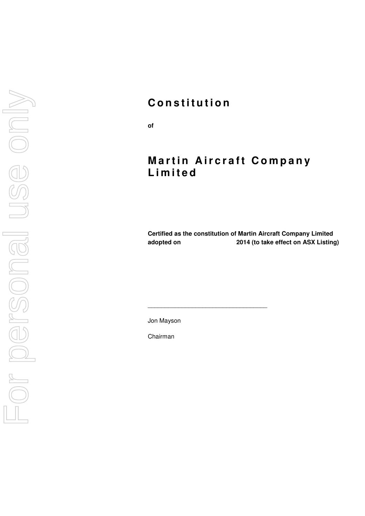# **C o n s t i t u t i o n**

**of** 

# **Martin Aircraft Company L i m i t e d**

**Certified as the constitution of Martin Aircraft Company Limited adopted on 2014 (to take effect on ASX Listing)**

Jon Mayson

 $\overline{\phantom{a}}$  , and the set of the set of the set of the set of the set of the set of the set of the set of the set of the set of the set of the set of the set of the set of the set of the set of the set of the set of the s

Chairman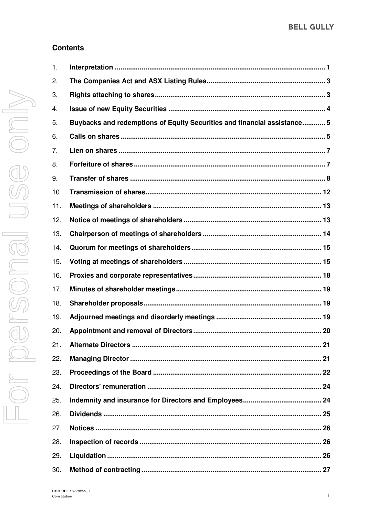## **Contents**

| 1.  |                                                                          |
|-----|--------------------------------------------------------------------------|
| 2.  |                                                                          |
| 3.  |                                                                          |
| 4.  |                                                                          |
| 5.  | Buybacks and redemptions of Equity Securities and financial assistance 5 |
| 6.  |                                                                          |
| 7.  |                                                                          |
| 8.  |                                                                          |
| 9.  |                                                                          |
| 10. |                                                                          |
| 11. |                                                                          |
| 12. |                                                                          |
| 13. |                                                                          |
| 14. |                                                                          |
| 15. |                                                                          |
| 16. |                                                                          |
| 17. |                                                                          |
| 18. |                                                                          |
| 19. |                                                                          |
| 20. |                                                                          |
| 21. |                                                                          |
| 22. |                                                                          |
| 23. | 22                                                                       |
| 24. |                                                                          |
| 25. |                                                                          |
| 26. |                                                                          |
| 27. |                                                                          |
| 28. |                                                                          |
| 29. |                                                                          |
| 30. |                                                                          |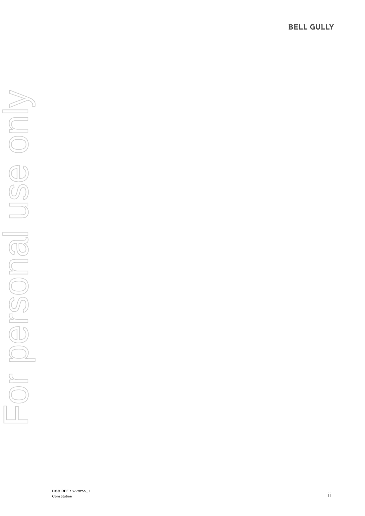## **BELL GULLY**

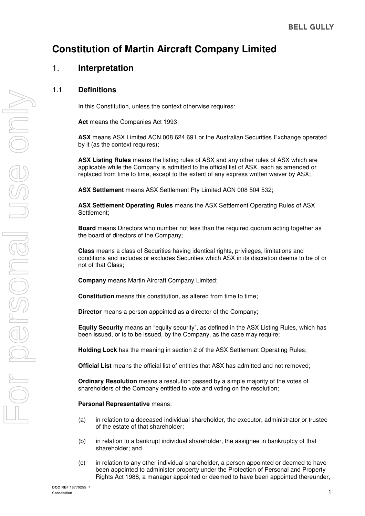# **Constitution of Martin Aircraft Company Limited**

## 1. **Interpretation**

## 1.1 **Definitions**

In this Constitution, unless the context otherwise requires:

**Act** means the Companies Act 1993;

**ASX** means ASX Limited ACN 008 624 691 or the Australian Securities Exchange operated by it (as the context requires);

**ASX Listing Rules** means the listing rules of ASX and any other rules of ASX which are applicable while the Company is admitted to the official list of ASX, each as amended or replaced from time to time, except to the extent of any express written waiver by ASX;

**ASX Settlement** means ASX Settlement Pty Limited ACN 008 504 532;

**ASX Settlement Operating Rules** means the ASX Settlement Operating Rules of ASX Settlement;

**Board** means Directors who number not less than the required quorum acting together as the board of directors of the Company;

**Class** means a class of Securities having identical rights, privileges, limitations and conditions and includes or excludes Securities which ASX in its discretion deems to be of or not of that Class;

**Company** means Martin Aircraft Company Limited;

**Constitution** means this constitution, as altered from time to time:

**Director** means a person appointed as a director of the Company;

**Equity Security** means an "equity security", as defined in the ASX Listing Rules, which has been issued, or is to be issued, by the Company, as the case may require;

**Holding Lock** has the meaning in section 2 of the ASX Settlement Operating Rules;

**Official List** means the official list of entities that ASX has admitted and not removed;

**Ordinary Resolution** means a resolution passed by a simple majority of the votes of shareholders of the Company entitled to vote and voting on the resolution;

**Personal Representative** means:

- (a) in relation to a deceased individual shareholder, the executor, administrator or trustee of the estate of that shareholder;
- (b) in relation to a bankrupt individual shareholder, the assignee in bankruptcy of that shareholder; and
- (c) in relation to any other individual shareholder, a person appointed or deemed to have been appointed to administer property under the Protection of Personal and Property Rights Act 1988, a manager appointed or deemed to have been appointed thereunder,

**DOC REF** 16779255\_7 **Constitution** 1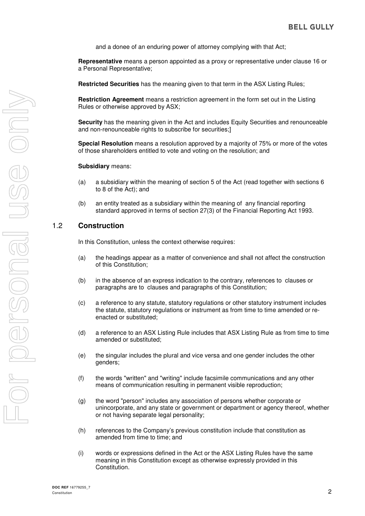and a donee of an enduring power of attorney complying with that Act;

**Representative** means a person appointed as a proxy or representative under clause 16 or a Personal Representative;

**Restricted Securities** has the meaning given to that term in the ASX Listing Rules;

**Restriction Agreement** means a restriction agreement in the form set out in the Listing Rules or otherwise approved by ASX;

**Security** has the meaning given in the Act and includes Equity Securities and renounceable and non-renounceable rights to subscribe for securities;]

**Special Resolution** means a resolution approved by a majority of 75% or more of the votes of those shareholders entitled to vote and voting on the resolution; and

#### **Subsidiary** means:

- (a) a subsidiary within the meaning of section 5 of the Act (read together with sections 6 to 8 of the Act); and
- (b) an entity treated as a subsidiary within the meaning of any financial reporting standard approved in terms of section 27(3) of the Financial Reporting Act 1993.

#### 1.2 **Construction**

In this Constitution, unless the context otherwise requires:

- (a) the headings appear as a matter of convenience and shall not affect the construction of this Constitution;
- (b) in the absence of an express indication to the contrary, references to clauses or paragraphs are to clauses and paragraphs of this Constitution;
- (c) a reference to any statute, statutory regulations or other statutory instrument includes the statute, statutory regulations or instrument as from time to time amended or reenacted or substituted;
- (d) a reference to an ASX Listing Rule includes that ASX Listing Rule as from time to time amended or substituted;
- (e) the singular includes the plural and vice versa and one gender includes the other genders;
- (f) the words "written" and "writing" include facsimile communications and any other means of communication resulting in permanent visible reproduction;
- (g) the word "person" includes any association of persons whether corporate or unincorporate, and any state or government or department or agency thereof, whether or not having separate legal personality;
- (h) references to the Company's previous constitution include that constitution as amended from time to time; and
- (i) words or expressions defined in the Act or the ASX Listing Rules have the same meaning in this Constitution except as otherwise expressly provided in this Constitution.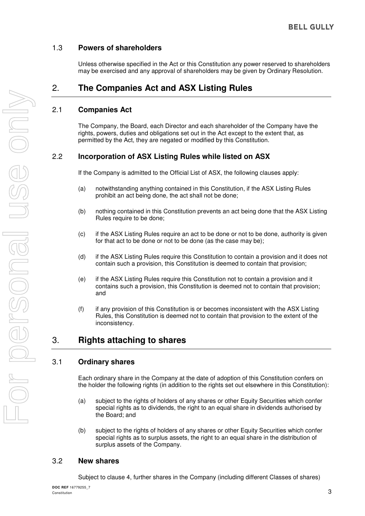## 1.3 **Powers of shareholders**

Unless otherwise specified in the Act or this Constitution any power reserved to shareholders may be exercised and any approval of shareholders may be given by Ordinary Resolution.

## 2. **The Companies Act and ASX Listing Rules**

#### 2.1 **Companies Act**

The Company, the Board, each Director and each shareholder of the Company have the rights, powers, duties and obligations set out in the Act except to the extent that, as permitted by the Act, they are negated or modified by this Constitution.

## 2.2 **Incorporation of ASX Listing Rules while listed on ASX**

If the Company is admitted to the Official List of ASX, the following clauses apply:

- (a) notwithstanding anything contained in this Constitution, if the ASX Listing Rules prohibit an act being done, the act shall not be done;
- (b) nothing contained in this Constitution prevents an act being done that the ASX Listing Rules require to be done;
- (c) if the ASX Listing Rules require an act to be done or not to be done, authority is given for that act to be done or not to be done (as the case may be);
- (d) if the ASX Listing Rules require this Constitution to contain a provision and it does not contain such a provision, this Constitution is deemed to contain that provision;
- (e) if the ASX Listing Rules require this Constitution not to contain a provision and it contains such a provision, this Constitution is deemed not to contain that provision; and
- (f) if any provision of this Constitution is or becomes inconsistent with the ASX Listing Rules, this Constitution is deemed not to contain that provision to the extent of the inconsistency.

## 3. **Rights attaching to shares**

## 3.1 **Ordinary shares**

Each ordinary share in the Company at the date of adoption of this Constitution confers on the holder the following rights (in addition to the rights set out elsewhere in this Constitution):

- (a) subject to the rights of holders of any shares or other Equity Securities which confer special rights as to dividends, the right to an equal share in dividends authorised by the Board; and
- (b) subject to the rights of holders of any shares or other Equity Securities which confer special rights as to surplus assets, the right to an equal share in the distribution of surplus assets of the Company.

#### 3.2 **New shares**

Subject to clause 4, further shares in the Company (including different Classes of shares)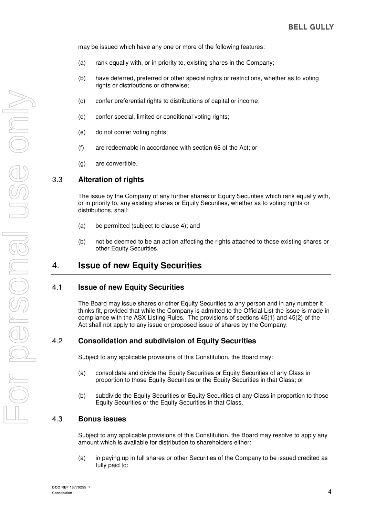may be issued which have any one or more of the following features:

- (a) rank equally with, or in priority to, existing shares in the Company;
- (b) have deferred, preferred or other special rights or restrictions, whether as to voting rights or distributions or otherwise:
- (c) confer preferential rights to distributions of capital or income;
- (d) confer special, limited or conditional voting rights;
- (e) do not confer voting rights;
- (f) are redeemable in accordance with section 68 of the Act; or
- (g) are convertible.

#### 3.3 **Alteration of rights**

The issue by the Company of any further shares or Equity Securities which rank equally with, or in priority to, any existing shares or Equity Securities, whether as to voting rights or distributions, shall:

- (a) be permitted (subject to clause 4); and
- (b) not be deemed to be an action affecting the rights attached to those existing shares or other Equity Securities.

## 4. **Issue of new Equity Securities**

#### 4.1 **Issue of new Equity Securities**

The Board may issue shares or other Equity Securities to any person and in any number it thinks fit, provided that while the Company is admitted to the Official List the issue is made in compliance with the ASX Listing Rules. The provisions of sections 45(1) and 45(2) of the Act shall not apply to any issue or proposed issue of shares by the Company.

#### 4.2 **Consolidation and subdivision of Equity Securities**

Subject to any applicable provisions of this Constitution, the Board may:

- (a) consolidate and divide the Equity Securities or Equity Securities of any Class in proportion to those Equity Securities or the Equity Securities in that Class; or
- (b) subdivide the Equity Securities or Equity Securities of any Class in proportion to those Equity Securities or the Equity Securities in that Class.

#### 4.3 **Bonus issues**

Subject to any applicable provisions of this Constitution, the Board may resolve to apply any amount which is available for distribution to shareholders either:

(a) in paying up in full shares or other Securities of the Company to be issued credited as fully paid to: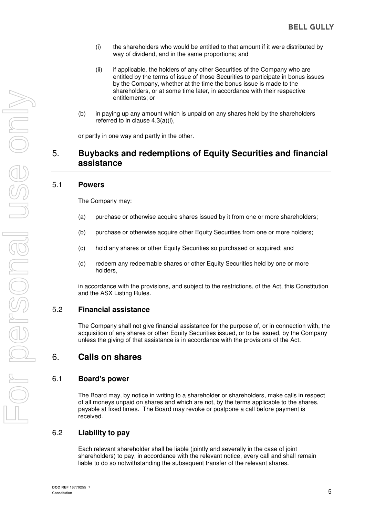- (i) the shareholders who would be entitled to that amount if it were distributed by way of dividend, and in the same proportions; and
- (ii) if applicable, the holders of any other Securities of the Company who are entitled by the terms of issue of those Securities to participate in bonus issues by the Company, whether at the time the bonus issue is made to the shareholders, or at some time later, in accordance with their respective entitlements; or
- (b) in paying up any amount which is unpaid on any shares held by the shareholders referred to in clause 4.3(a)(i),

or partly in one way and partly in the other.

## 5. **Buybacks and redemptions of Equity Securities and financial assistance**

#### 5.1 **Powers**

The Company may:

- (a) purchase or otherwise acquire shares issued by it from one or more shareholders;
- (b) purchase or otherwise acquire other Equity Securities from one or more holders;
- (c) hold any shares or other Equity Securities so purchased or acquired; and
- (d) redeem any redeemable shares or other Equity Securities held by one or more holders,

in accordance with the provisions, and subject to the restrictions, of the Act, this Constitution and the ASX Listing Rules.

## 5.2 **Financial assistance**

The Company shall not give financial assistance for the purpose of, or in connection with, the acquisition of any shares or other Equity Securities issued, or to be issued, by the Company unless the giving of that assistance is in accordance with the provisions of the Act.

## 6. **Calls on shares**

#### 6.1 **Board's power**

The Board may, by notice in writing to a shareholder or shareholders, make calls in respect of all moneys unpaid on shares and which are not, by the terms applicable to the shares, payable at fixed times. The Board may revoke or postpone a call before payment is received.

## 6.2 **Liability to pay**

Each relevant shareholder shall be liable (jointly and severally in the case of joint shareholders) to pay, in accordance with the relevant notice, every call and shall remain liable to do so notwithstanding the subsequent transfer of the relevant shares.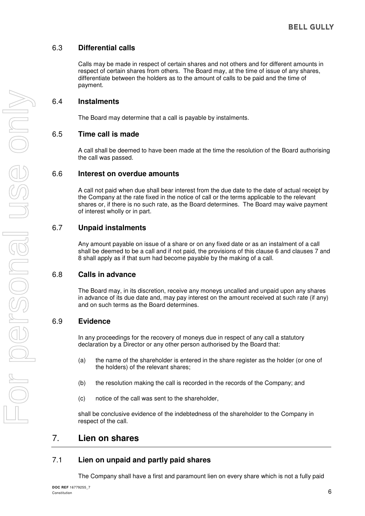## 6.3 **Differential calls**

Calls may be made in respect of certain shares and not others and for different amounts in respect of certain shares from others. The Board may, at the time of issue of any shares, differentiate between the holders as to the amount of calls to be paid and the time of payment.

## 6.4 **Instalments**

The Board may determine that a call is payable by instalments.

## 6.5 **Time call is made**

A call shall be deemed to have been made at the time the resolution of the Board authorising the call was passed.

#### 6.6 **Interest on overdue amounts**

A call not paid when due shall bear interest from the due date to the date of actual receipt by the Company at the rate fixed in the notice of call or the terms applicable to the relevant shares or, if there is no such rate, as the Board determines. The Board may waive payment of interest wholly or in part.

## 6.7 **Unpaid instalments**

Any amount payable on issue of a share or on any fixed date or as an instalment of a call shall be deemed to be a call and if not paid, the provisions of this clause 6 and clauses 7 and 8 shall apply as if that sum had become payable by the making of a call.

## 6.8 **Calls in advance**

The Board may, in its discretion, receive any moneys uncalled and unpaid upon any shares in advance of its due date and, may pay interest on the amount received at such rate (if any) and on such terms as the Board determines.

## 6.9 **Evidence**

In any proceedings for the recovery of moneys due in respect of any call a statutory declaration by a Director or any other person authorised by the Board that:

- (a) the name of the shareholder is entered in the share register as the holder (or one of the holders) of the relevant shares;
- (b) the resolution making the call is recorded in the records of the Company; and
- (c) notice of the call was sent to the shareholder,

shall be conclusive evidence of the indebtedness of the shareholder to the Company in respect of the call.

## 7. **Lien on shares**

## 7.1 **Lien on unpaid and partly paid shares**

The Company shall have a first and paramount lien on every share which is not a fully paid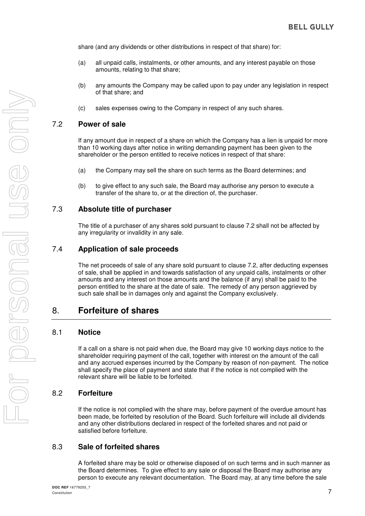share (and any dividends or other distributions in respect of that share) for:

- (a) all unpaid calls, instalments, or other amounts, and any interest payable on those amounts, relating to that share;
- (b) any amounts the Company may be called upon to pay under any legislation in respect of that share; and
- (c) sales expenses owing to the Company in respect of any such shares.

#### 7.2 **Power of sale**

If any amount due in respect of a share on which the Company has a lien is unpaid for more than 10 working days after notice in writing demanding payment has been given to the shareholder or the person entitled to receive notices in respect of that share:

- (a) the Company may sell the share on such terms as the Board determines; and
- (b) to give effect to any such sale, the Board may authorise any person to execute a transfer of the share to, or at the direction of, the purchaser.

#### 7.3 **Absolute title of purchaser**

The title of a purchaser of any shares sold pursuant to clause 7.2 shall not be affected by any irregularity or invalidity in any sale.

#### 7.4 **Application of sale proceeds**

The net proceeds of sale of any share sold pursuant to clause 7.2, after deducting expenses of sale, shall be applied in and towards satisfaction of any unpaid calls, instalments or other amounts and any interest on those amounts and the balance (if any) shall be paid to the person entitled to the share at the date of sale. The remedy of any person aggrieved by such sale shall be in damages only and against the Company exclusively.

## 8. **Forfeiture of shares**

#### 8.1 **Notice**

If a call on a share is not paid when due, the Board may give 10 working days notice to the shareholder requiring payment of the call, together with interest on the amount of the call and any accrued expenses incurred by the Company by reason of non-payment. The notice shall specify the place of payment and state that if the notice is not complied with the relevant share will be liable to be forfeited.

## 8.2 **Forfeiture**

If the notice is not complied with the share may, before payment of the overdue amount has been made, be forfeited by resolution of the Board. Such forfeiture will include all dividends and any other distributions declared in respect of the forfeited shares and not paid or satisfied before forfeiture.

#### 8.3 **Sale of forfeited shares**

A forfeited share may be sold or otherwise disposed of on such terms and in such manner as the Board determines. To give effect to any sale or disposal the Board may authorise any person to execute any relevant documentation. The Board may, at any time before the sale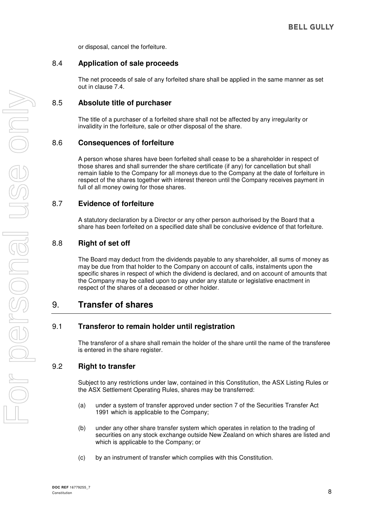or disposal, cancel the forfeiture.

### 8.4 **Application of sale proceeds**

The net proceeds of sale of any forfeited share shall be applied in the same manner as set out in clause 7.4.

#### 8.5 **Absolute title of purchaser**

The title of a purchaser of a forfeited share shall not be affected by any irregularity or invalidity in the forfeiture, sale or other disposal of the share.

#### 8.6 **Consequences of forfeiture**

A person whose shares have been forfeited shall cease to be a shareholder in respect of those shares and shall surrender the share certificate (if any) for cancellation but shall remain liable to the Company for all moneys due to the Company at the date of forfeiture in respect of the shares together with interest thereon until the Company receives payment in full of all money owing for those shares.

#### 8.7 **Evidence of forfeiture**

A statutory declaration by a Director or any other person authorised by the Board that a share has been forfeited on a specified date shall be conclusive evidence of that forfeiture.

#### 8.8 **Right of set off**

The Board may deduct from the dividends payable to any shareholder, all sums of money as may be due from that holder to the Company on account of calls, instalments upon the specific shares in respect of which the dividend is declared, and on account of amounts that the Company may be called upon to pay under any statute or legislative enactment in respect of the shares of a deceased or other holder.

## 9. **Transfer of shares**

#### 9.1 **Transferor to remain holder until registration**

The transferor of a share shall remain the holder of the share until the name of the transferee is entered in the share register.

#### 9.2 **Right to transfer**

Subject to any restrictions under law, contained in this Constitution, the ASX Listing Rules or the ASX Settlement Operating Rules, shares may be transferred:

- (a) under a system of transfer approved under section 7 of the Securities Transfer Act 1991 which is applicable to the Company;
- (b) under any other share transfer system which operates in relation to the trading of securities on any stock exchange outside New Zealand on which shares are listed and which is applicable to the Company; or
- (c) by an instrument of transfer which complies with this Constitution.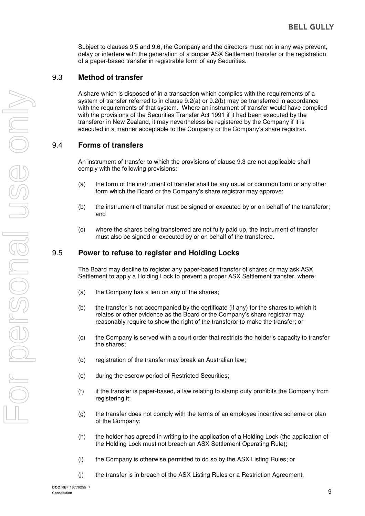Subject to clauses 9.5 and 9.6, the Company and the directors must not in any way prevent, delay or interfere with the generation of a proper ASX Settlement transfer or the registration of a paper-based transfer in registrable form of any Securities.

## 9.3 **Method of transfer**

A share which is disposed of in a transaction which complies with the requirements of a system of transfer referred to in clause 9.2(a) or 9.2(b) may be transferred in accordance with the requirements of that system. Where an instrument of transfer would have complied with the provisions of the Securities Transfer Act 1991 if it had been executed by the transferor in New Zealand, it may nevertheless be registered by the Company if it is executed in a manner acceptable to the Company or the Company's share registrar.

#### 9.4 **Forms of transfers**

An instrument of transfer to which the provisions of clause 9.3 are not applicable shall comply with the following provisions:

- (a) the form of the instrument of transfer shall be any usual or common form or any other form which the Board or the Company's share registrar may approve;
- (b) the instrument of transfer must be signed or executed by or on behalf of the transferor; and
- (c) where the shares being transferred are not fully paid up, the instrument of transfer must also be signed or executed by or on behalf of the transferee.

#### 9.5 **Power to refuse to register and Holding Locks**

The Board may decline to register any paper-based transfer of shares or may ask ASX Settlement to apply a Holding Lock to prevent a proper ASX Settlement transfer, where:

- (a) the Company has a lien on any of the shares;
- (b) the transfer is not accompanied by the certificate (if any) for the shares to which it relates or other evidence as the Board or the Company's share registrar may reasonably require to show the right of the transferor to make the transfer; or
- (c) the Company is served with a court order that restricts the holder's capacity to transfer the shares;
- (d) registration of the transfer may break an Australian law;
- (e) during the escrow period of Restricted Securities;
- (f) if the transfer is paper-based, a law relating to stamp duty prohibits the Company from registering it;
- (g) the transfer does not comply with the terms of an employee incentive scheme or plan of the Company;
- (h) the holder has agreed in writing to the application of a Holding Lock (the application of the Holding Lock must not breach an ASX Settlement Operating Rule);
- (i) the Company is otherwise permitted to do so by the ASX Listing Rules; or
- (j) the transfer is in breach of the ASX Listing Rules or a Restriction Agreement,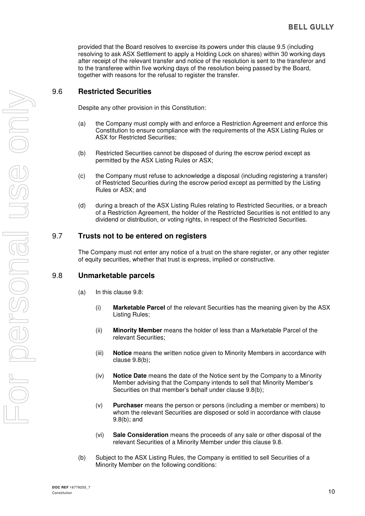provided that the Board resolves to exercise its powers under this clause 9.5 (including resolving to ask ASX Settlement to apply a Holding Lock on shares) within 30 working days after receipt of the relevant transfer and notice of the resolution is sent to the transferor and to the transferee within five working days of the resolution being passed by the Board, together with reasons for the refusal to register the transfer.

### 9.6 **Restricted Securities**

Despite any other provision in this Constitution:

- (a) the Company must comply with and enforce a Restriction Agreement and enforce this Constitution to ensure compliance with the requirements of the ASX Listing Rules or ASX for Restricted Securities;
- (b) Restricted Securities cannot be disposed of during the escrow period except as permitted by the ASX Listing Rules or ASX;
- (c) the Company must refuse to acknowledge a disposal (including registering a transfer) of Restricted Securities during the escrow period except as permitted by the Listing Rules or ASX; and
- (d) during a breach of the ASX Listing Rules relating to Restricted Securities, or a breach of a Restriction Agreement, the holder of the Restricted Securities is not entitled to any dividend or distribution, or voting rights, in respect of the Restricted Securities.

#### 9.7 **Trusts not to be entered on registers**

The Company must not enter any notice of a trust on the share register, or any other register of equity securities, whether that trust is express, implied or constructive.

#### 9.8 **Unmarketable parcels**

- (a) In this clause 9.8:
	- (i) **Marketable Parcel** of the relevant Securities has the meaning given by the ASX Listing Rules;
	- (ii) **Minority Member** means the holder of less than a Marketable Parcel of the relevant Securities;
	- (iii) **Notice** means the written notice given to Minority Members in accordance with clause 9.8(b);
	- (iv) **Notice Date** means the date of the Notice sent by the Company to a Minority Member advising that the Company intends to sell that Minority Member's Securities on that member's behalf under clause 9.8(b);
	- (v) **Purchaser** means the person or persons (including a member or members) to whom the relevant Securities are disposed or sold in accordance with clause 9.8(b); and
	- (vi) **Sale Consideration** means the proceeds of any sale or other disposal of the relevant Securities of a Minority Member under this clause 9.8.
- (b) Subject to the ASX Listing Rules, the Company is entitled to sell Securities of a Minority Member on the following conditions: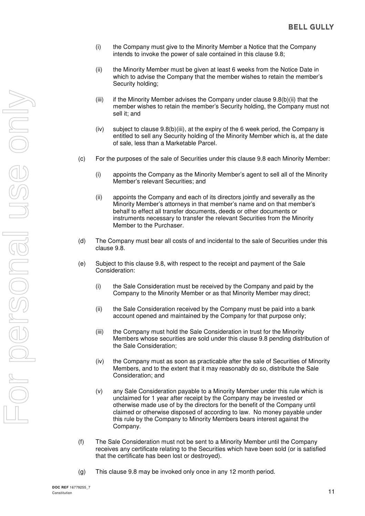- (i) the Company must give to the Minority Member a Notice that the Company intends to invoke the power of sale contained in this clause 9.8;
- (ii) the Minority Member must be given at least 6 weeks from the Notice Date in which to advise the Company that the member wishes to retain the member's Security holding;
- $(iii)$  if the Minority Member advises the Company under clause  $9.8(b)(ii)$  that the member wishes to retain the member's Security holding, the Company must not sell it; and
- (iv) subject to clause 9.8(b)(iii), at the expiry of the 6 week period, the Company is entitled to sell any Security holding of the Minority Member which is, at the date of sale, less than a Marketable Parcel.
- (c) For the purposes of the sale of Securities under this clause 9.8 each Minority Member:
	- (i) appoints the Company as the Minority Member's agent to sell all of the Minority Member's relevant Securities; and
	- (ii) appoints the Company and each of its directors jointly and severally as the Minority Member's attorneys in that member's name and on that member's behalf to effect all transfer documents, deeds or other documents or instruments necessary to transfer the relevant Securities from the Minority Member to the Purchaser.
- (d) The Company must bear all costs of and incidental to the sale of Securities under this clause 9.8.
- (e) Subject to this clause 9.8, with respect to the receipt and payment of the Sale Consideration:
	- (i) the Sale Consideration must be received by the Company and paid by the Company to the Minority Member or as that Minority Member may direct;
	- (ii) the Sale Consideration received by the Company must be paid into a bank account opened and maintained by the Company for that purpose only;
	- (iii) the Company must hold the Sale Consideration in trust for the Minority Members whose securities are sold under this clause 9.8 pending distribution of the Sale Consideration;
	- (iv) the Company must as soon as practicable after the sale of Securities of Minority Members, and to the extent that it may reasonably do so, distribute the Sale Consideration; and
	- (v) any Sale Consideration payable to a Minority Member under this rule which is unclaimed for 1 year after receipt by the Company may be invested or otherwise made use of by the directors for the benefit of the Company until claimed or otherwise disposed of according to law. No money payable under this rule by the Company to Minority Members bears interest against the Company.
- (f) The Sale Consideration must not be sent to a Minority Member until the Company receives any certificate relating to the Securities which have been sold (or is satisfied that the certificate has been lost or destroyed).
- (g) This clause 9.8 may be invoked only once in any 12 month period.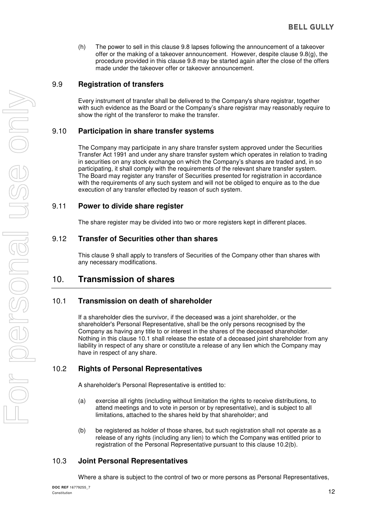(h) The power to sell in this clause 9.8 lapses following the announcement of a takeover offer or the making of a takeover announcement. However, despite clause 9.8(g), the procedure provided in this clause 9.8 may be started again after the close of the offers made under the takeover offer or takeover announcement.

## 9.9 **Registration of transfers**

Every instrument of transfer shall be delivered to the Company's share registrar, together with such evidence as the Board or the Company's share registrar may reasonably require to show the right of the transferor to make the transfer.

## 9.10 **Participation in share transfer systems**

The Company may participate in any share transfer system approved under the Securities Transfer Act 1991 and under any share transfer system which operates in relation to trading in securities on any stock exchange on which the Company's shares are traded and, in so participating, it shall comply with the requirements of the relevant share transfer system. The Board may register any transfer of Securities presented for registration in accordance with the requirements of any such system and will not be obliged to enquire as to the due execution of any transfer effected by reason of such system.

#### 9.11 **Power to divide share register**

The share register may be divided into two or more registers kept in different places.

## 9.12 **Transfer of Securities other than shares**

This clause 9 shall apply to transfers of Securities of the Company other than shares with any necessary modifications.

## 10. **Transmission of shares**

#### 10.1 **Transmission on death of shareholder**

If a shareholder dies the survivor, if the deceased was a joint shareholder, or the shareholder's Personal Representative, shall be the only persons recognised by the Company as having any title to or interest in the shares of the deceased shareholder. Nothing in this clause 10.1 shall release the estate of a deceased joint shareholder from any liability in respect of any share or constitute a release of any lien which the Company may have in respect of any share.

## 10.2 **Rights of Personal Representatives**

A shareholder's Personal Representative is entitled to:

- (a) exercise all rights (including without limitation the rights to receive distributions, to attend meetings and to vote in person or by representative), and is subject to all limitations, attached to the shares held by that shareholder; and
- (b) be registered as holder of those shares, but such registration shall not operate as a release of any rights (including any lien) to which the Company was entitled prior to registration of the Personal Representative pursuant to this clause 10.2(b).

## 10.3 **Joint Personal Representatives**

Where a share is subject to the control of two or more persons as Personal Representatives,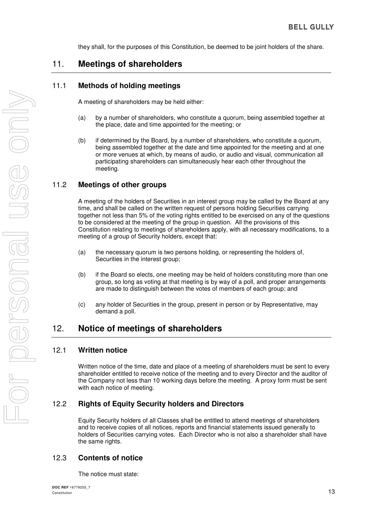they shall, for the purposes of this Constitution, be deemed to be joint holders of the share.

## 11. **Meetings of shareholders**

## 11.1 **Methods of holding meetings**

A meeting of shareholders may be held either:

- (a) by a number of shareholders, who constitute a quorum, being assembled together at the place, date and time appointed for the meeting; or
- (b) if determined by the Board, by a number of shareholders, who constitute a quorum, being assembled together at the date and time appointed for the meeting and at one or more venues at which, by means of audio, or audio and visual, communication all participating shareholders can simultaneously hear each other throughout the meeting.

#### 11.2 **Meetings of other groups**

A meeting of the holders of Securities in an interest group may be called by the Board at any time, and shall be called on the written request of persons holding Securities carrying together not less than 5% of the voting rights entitled to be exercised on any of the questions to be considered at the meeting of the group in question. All the provisions of this Constitution relating to meetings of shareholders apply, with all necessary modifications, to a meeting of a group of Security holders, except that:

- (a) the necessary quorum is two persons holding, or representing the holders of, Securities in the interest group;
- (b) if the Board so elects, one meeting may be held of holders constituting more than one group, so long as voting at that meeting is by way of a poll, and proper arrangements are made to distinguish between the votes of members of each group; and
- (c) any holder of Securities in the group, present in person or by Representative, may demand a poll.

## 12. **Notice of meetings of shareholders**

#### 12.1 **Written notice**

Written notice of the time, date and place of a meeting of shareholders must be sent to every shareholder entitled to receive notice of the meeting and to every Director and the auditor of the Company not less than 10 working days before the meeting. A proxy form must be sent with each notice of meeting.

## 12.2 **Rights of Equity Security holders and Directors**

Equity Security holders of all Classes shall be entitled to attend meetings of shareholders and to receive copies of all notices, reports and financial statements issued generally to holders of Securities carrying votes. Each Director who is not also a shareholder shall have the same rights.

## 12.3 **Contents of notice**

The notice must state: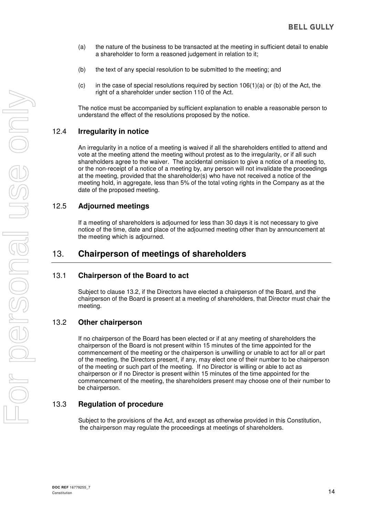- (a) the nature of the business to be transacted at the meeting in sufficient detail to enable a shareholder to form a reasoned judgement in relation to it;
- (b) the text of any special resolution to be submitted to the meeting; and
- (c) in the case of special resolutions required by section  $106(1)(a)$  or (b) of the Act, the right of a shareholder under section 110 of the Act.

The notice must be accompanied by sufficient explanation to enable a reasonable person to understand the effect of the resolutions proposed by the notice.

## 12.4 **Irregularity in notice**

An irregularity in a notice of a meeting is waived if all the shareholders entitled to attend and vote at the meeting attend the meeting without protest as to the irregularity, or if all such shareholders agree to the waiver. The accidental omission to give a notice of a meeting to, or the non-receipt of a notice of a meeting by, any person will not invalidate the proceedings at the meeting, provided that the shareholder(s) who have not received a notice of the meeting hold, in aggregate, less than 5% of the total voting rights in the Company as at the date of the proposed meeting.

## 12.5 **Adjourned meetings**

If a meeting of shareholders is adjourned for less than 30 days it is not necessary to give notice of the time, date and place of the adjourned meeting other than by announcement at the meeting which is adjourned.

## 13. **Chairperson of meetings of shareholders**

## 13.1 **Chairperson of the Board to act**

Subject to clause 13.2, if the Directors have elected a chairperson of the Board, and the chairperson of the Board is present at a meeting of shareholders, that Director must chair the meeting.

#### 13.2 **Other chairperson**

If no chairperson of the Board has been elected or if at any meeting of shareholders the chairperson of the Board is not present within 15 minutes of the time appointed for the commencement of the meeting or the chairperson is unwilling or unable to act for all or part of the meeting, the Directors present, if any, may elect one of their number to be chairperson of the meeting or such part of the meeting. If no Director is willing or able to act as chairperson or if no Director is present within 15 minutes of the time appointed for the commencement of the meeting, the shareholders present may choose one of their number to be chairperson.

## 13.3 **Regulation of procedure**

Subject to the provisions of the Act, and except as otherwise provided in this Constitution, the chairperson may regulate the proceedings at meetings of shareholders.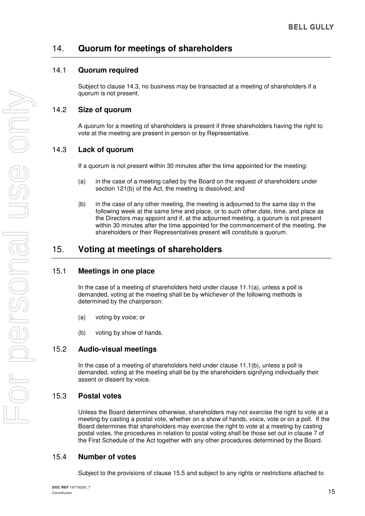## 14. **Quorum for meetings of shareholders**

## 14.1 **Quorum required**

Subject to clause 14.3, no business may be transacted at a meeting of shareholders if a quorum is not present.

### 14.2 **Size of quorum**

A quorum for a meeting of shareholders is present if three shareholders having the right to vote at the meeting are present in person or by Representative.

#### 14.3 **Lack of quorum**

If a quorum is not present within 30 minutes after the time appointed for the meeting:

- (a) in the case of a meeting called by the Board on the request of shareholders under section 121(b) of the Act, the meeting is dissolved; and
- (b) in the case of any other meeting, the meeting is adjourned to the same day in the following week at the same time and place, or to such other date, time, and place as the Directors may appoint and if, at the adjourned meeting, a quorum is not present within 30 minutes after the time appointed for the commencement of the meeting, the shareholders or their Representatives present will constitute a quorum.

## 15. **Voting at meetings of shareholders**

#### 15.1 **Meetings in one place**

In the case of a meeting of shareholders held under clause  $11.1(a)$ , unless a poll is demanded, voting at the meeting shall be by whichever of the following methods is determined by the chairperson:

- (a) voting by voice; or
- (b) voting by show of hands.

## 15.2 **Audio-visual meetings**

In the case of a meeting of shareholders held under clause 11.1(b), unless a poll is demanded, voting at the meeting shall be by the shareholders signifying individually their assent or dissent by voice.

## 15.3 **Postal votes**

Unless the Board determines otherwise, shareholders may not exercise the right to vote at a meeting by casting a postal vote, whether on a show of hands, voice, vote or on a poll. If the Board determines that shareholders may exercise the right to vote at a meeting by casting postal votes, the procedures in relation to postal voting shall be those set out in clause 7 of the First Schedule of the Act together with any other procedures determined by the Board.

#### 15.4 **Number of votes**

Subject to the provisions of clause 15.5 and subject to any rights or restrictions attached to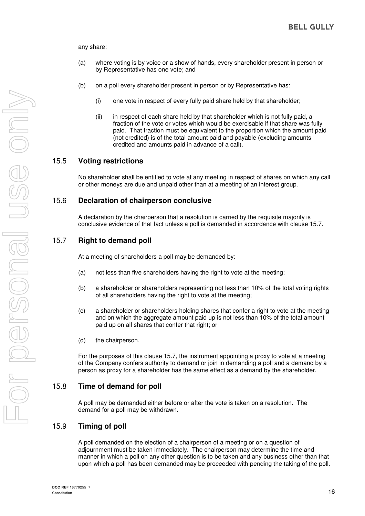any share:

- (a) where voting is by voice or a show of hands, every shareholder present in person or by Representative has one vote; and
- (b) on a poll every shareholder present in person or by Representative has:
	- (i) one vote in respect of every fully paid share held by that shareholder;
	- (ii) in respect of each share held by that shareholder which is not fully paid, a fraction of the vote or votes which would be exercisable if that share was fully paid. That fraction must be equivalent to the proportion which the amount paid (not credited) is of the total amount paid and payable (excluding amounts credited and amounts paid in advance of a call).

#### 15.5 **Voting restrictions**

No shareholder shall be entitled to vote at any meeting in respect of shares on which any call or other moneys are due and unpaid other than at a meeting of an interest group.

#### 15.6 **Declaration of chairperson conclusive**

A declaration by the chairperson that a resolution is carried by the requisite majority is conclusive evidence of that fact unless a poll is demanded in accordance with clause 15.7.

#### 15.7 **Right to demand poll**

At a meeting of shareholders a poll may be demanded by:

- (a) not less than five shareholders having the right to vote at the meeting;
- (b) a shareholder or shareholders representing not less than 10% of the total voting rights of all shareholders having the right to vote at the meeting;
- (c) a shareholder or shareholders holding shares that confer a right to vote at the meeting and on which the aggregate amount paid up is not less than 10% of the total amount paid up on all shares that confer that right; or
- (d) the chairperson.

For the purposes of this clause 15.7, the instrument appointing a proxy to vote at a meeting of the Company confers authority to demand or join in demanding a poll and a demand by a person as proxy for a shareholder has the same effect as a demand by the shareholder.

#### 15.8 **Time of demand for poll**

A poll may be demanded either before or after the vote is taken on a resolution. The demand for a poll may be withdrawn.

#### 15.9 **Timing of poll**

A poll demanded on the election of a chairperson of a meeting or on a question of adjournment must be taken immediately. The chairperson may determine the time and manner in which a poll on any other question is to be taken and any business other than that upon which a poll has been demanded may be proceeded with pending the taking of the poll.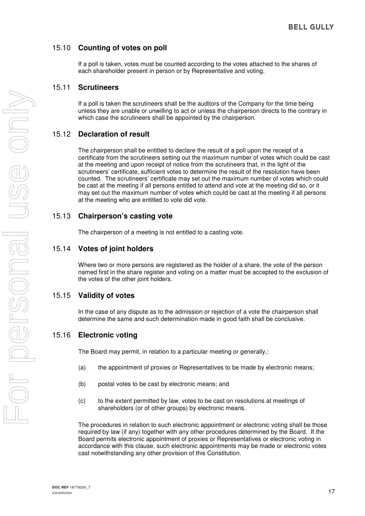## 15.10 **Counting of votes on poll**

If a poll is taken, votes must be counted according to the votes attached to the shares of each shareholder present in person or by Representative and voting.

#### 15.11 **Scrutineers**

If a poll is taken the scrutineers shall be the auditors of the Company for the time being unless they are unable or unwilling to act or unless the chairperson directs to the contrary in which case the scrutineers shall be appointed by the chairperson.

## 15.12 **Declaration of result**

The chairperson shall be entitled to declare the result of a poll upon the receipt of a certificate from the scrutineers setting out the maximum number of votes which could be cast at the meeting and upon receipt of notice from the scrutineers that, in the light of the scrutineers' certificate, sufficient votes to determine the result of the resolution have been counted. The scrutineers' certificate may set out the maximum number of votes which could be cast at the meeting if all persons entitled to attend and vote at the meeting did so, or it may set out the maximum number of votes which could be cast at the meeting if all persons at the meeting who are entitled to vote did vote.

#### 15.13 **Chairperson's casting vote**

The chairperson of a meeting is not entitled to a casting vote.

#### 15.14 **Votes of joint holders**

Where two or more persons are registered as the holder of a share, the vote of the person named first in the share register and voting on a matter must be accepted to the exclusion of the votes of the other joint holders.

## 15.15 **Validity of votes**

In the case of any dispute as to the admission or rejection of a vote the chairperson shall determine the same and such determination made in good faith shall be conclusive.

## 15.16 **Electronic** v**oting**

The Board may permit, in relation to a particular meeting or generally,:

- (a) the appointment of proxies or Representatives to be made by electronic means;
- (b) postal votes to be cast by electronic means; and
- (c) to the extent permitted by law, votes to be cast on resolutions at meetings of shareholders (or of other groups) by electronic means.

The procedures in relation to such electronic appointment or electronic voting shall be those required by law (if any) together with any other procedures determined by the Board. If the Board permits electronic appointment of proxies or Representatives or electronic voting in accordance with this clause, such electronic appointments may be made or electronic votes cast notwithstanding any other provision of this Constitution.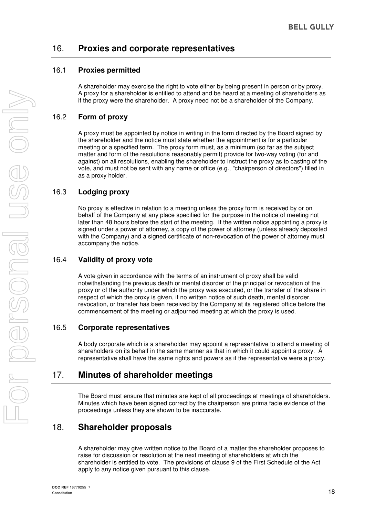## 16. **Proxies and corporate representatives**

## 16.1 **Proxies permitted**

A shareholder may exercise the right to vote either by being present in person or by proxy. A proxy for a shareholder is entitled to attend and be heard at a meeting of shareholders as if the proxy were the shareholder. A proxy need not be a shareholder of the Company.

## 16.2 **Form of proxy**

A proxy must be appointed by notice in writing in the form directed by the Board signed by the shareholder and the notice must state whether the appointment is for a particular meeting or a specified term. The proxy form must, as a minimum (so far as the subject matter and form of the resolutions reasonably permit) provide for two-way voting (for and against) on all resolutions, enabling the shareholder to instruct the proxy as to casting of the vote, and must not be sent with any name or office (e.g., "chairperson of directors") filled in as a proxy holder.

## 16.3 **Lodging proxy**

No proxy is effective in relation to a meeting unless the proxy form is received by or on behalf of the Company at any place specified for the purpose in the notice of meeting not later than 48 hours before the start of the meeting. If the written notice appointing a proxy is signed under a power of attorney, a copy of the power of attorney (unless already deposited with the Company) and a signed certificate of non-revocation of the power of attorney must accompany the notice.

## 16.4 **Validity of proxy vote**

A vote given in accordance with the terms of an instrument of proxy shall be valid notwithstanding the previous death or mental disorder of the principal or revocation of the proxy or of the authority under which the proxy was executed, or the transfer of the share in respect of which the proxy is given, if no written notice of such death, mental disorder, revocation, or transfer has been received by the Company at its registered office before the commencement of the meeting or adjourned meeting at which the proxy is used.

#### 16.5 **Corporate representatives**

A body corporate which is a shareholder may appoint a representative to attend a meeting of shareholders on its behalf in the same manner as that in which it could appoint a proxy. A representative shall have the same rights and powers as if the representative were a proxy.

## 17. **Minutes of shareholder meetings**

The Board must ensure that minutes are kept of all proceedings at meetings of shareholders. Minutes which have been signed correct by the chairperson are prima facie evidence of the proceedings unless they are shown to be inaccurate.

## 18. **Shareholder proposals**

A shareholder may give written notice to the Board of a matter the shareholder proposes to raise for discussion or resolution at the next meeting of shareholders at which the shareholder is entitled to vote. The provisions of clause 9 of the First Schedule of the Act apply to any notice given pursuant to this clause.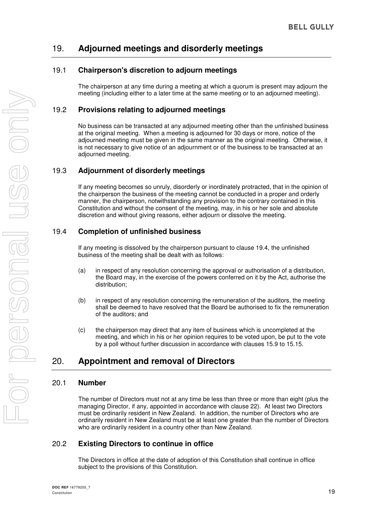## 19. **Adjourned meetings and disorderly meetings**

## 19.1 **Chairperson's discretion to adjourn meetings**

The chairperson at any time during a meeting at which a quorum is present may adjourn the meeting (including either to a later time at the same meeting or to an adjourned meeting).

## 19.2 **Provisions relating to adjourned meetings**

No business can be transacted at any adjourned meeting other than the unfinished business at the original meeting. When a meeting is adjourned for 30 days or more, notice of the adjourned meeting must be given in the same manner as the original meeting. Otherwise, it is not necessary to give notice of an adjournment or of the business to be transacted at an adjourned meeting.

## 19.3 **Adjournment of disorderly meetings**

If any meeting becomes so unruly, disorderly or inordinately protracted, that in the opinion of the chairperson the business of the meeting cannot be conducted in a proper and orderly manner, the chairperson, notwithstanding any provision to the contrary contained in this Constitution and without the consent of the meeting, may, in his or her sole and absolute discretion and without giving reasons, either adjourn or dissolve the meeting.

## 19.4 **Completion of unfinished business**

If any meeting is dissolved by the chairperson pursuant to clause 19.4, the unfinished business of the meeting shall be dealt with as follows:

- (a) in respect of any resolution concerning the approval or authorisation of a distribution, the Board may, in the exercise of the powers conferred on it by the Act, authorise the distribution;
- (b) in respect of any resolution concerning the remuneration of the auditors, the meeting shall be deemed to have resolved that the Board be authorised to fix the remuneration of the auditors; and
- (c) the chairperson may direct that any item of business which is uncompleted at the meeting, and which in his or her opinion requires to be voted upon, be put to the vote by a poll without further discussion in accordance with clauses 15.9 to 15.15.

## 20. **Appointment and removal of Directors**

## 20.1 **Number**

The number of Directors must not at any time be less than three or more than eight (plus the managing Director, if any, appointed in accordance with clause 22). At least two Directors must be ordinarily resident in New Zealand. In addition, the number of Directors who are ordinarily resident in New Zealand must be at least one greater than the number of Directors who are ordinarily resident in a country other than New Zealand.

## 20.2 **Existing Directors to continue in office**

The Directors in office at the date of adoption of this Constitution shall continue in office subject to the provisions of this Constitution.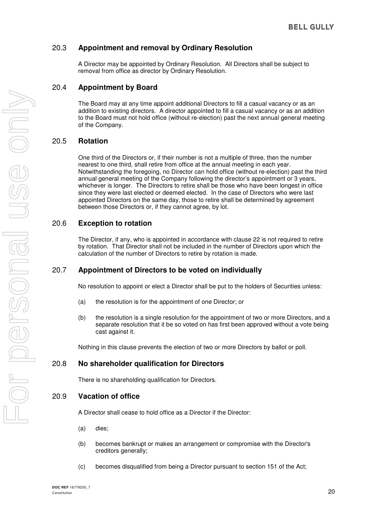## 20.3 **Appointment and removal by Ordinary Resolution**

A Director may be appointed by Ordinary Resolution. All Directors shall be subject to removal from office as director by Ordinary Resolution.

## 20.4 **Appointment by Board**

The Board may at any time appoint additional Directors to fill a casual vacancy or as an addition to existing directors. A director appointed to fill a casual vacancy or as an addition to the Board must not hold office (without re-election) past the next annual general meeting of the Company.

## 20.5 **Rotation**

One third of the Directors or, if their number is not a multiple of three, then the number nearest to one third, shall retire from office at the annual meeting in each year. Notwithstanding the foregoing, no Director can hold office (without re-election) past the third annual general meeting of the Company following the director's appointment or 3 years, whichever is longer. The Directors to retire shall be those who have been longest in office since they were last elected or deemed elected. In the case of Directors who were last appointed Directors on the same day, those to retire shall be determined by agreement between those Directors or, if they cannot agree, by lot.

## 20.6 **Exception to rotation**

The Director, if any, who is appointed in accordance with clause 22 is not required to retire by rotation. That Director shall not be included in the number of Directors upon which the calculation of the number of Directors to retire by rotation is made.

## 20.7 **Appointment of Directors to be voted on individually**

No resolution to appoint or elect a Director shall be put to the holders of Securities unless:

- (a) the resolution is for the appointment of one Director; or
- (b) the resolution is a single resolution for the appointment of two or more Directors, and a separate resolution that it be so voted on has first been approved without a vote being cast against it.

Nothing in this clause prevents the election of two or more Directors by ballot or poll.

#### 20.8 **No shareholder qualification for Directors**

There is no shareholding qualification for Directors.

## 20.9 **Vacation of office**

A Director shall cease to hold office as a Director if the Director:

- (a) dies;
- (b) becomes bankrupt or makes an arrangement or compromise with the Director's creditors generally;
- (c) becomes disqualified from being a Director pursuant to section 151 of the Act;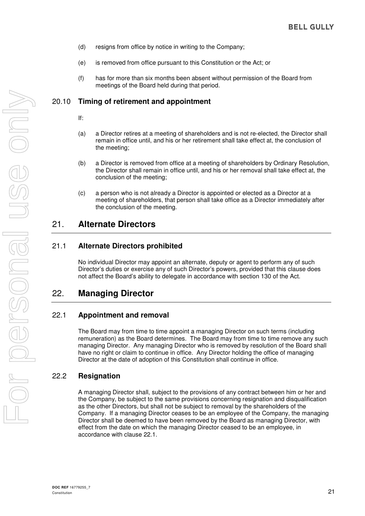- (d) resigns from office by notice in writing to the Company;
- (e) is removed from office pursuant to this Constitution or the Act; or
- (f) has for more than six months been absent without permission of the Board from meetings of the Board held during that period.

#### 20.10 **Timing of retirement and appointment**

- If:
- (a) a Director retires at a meeting of shareholders and is not re-elected, the Director shall remain in office until, and his or her retirement shall take effect at, the conclusion of the meeting;
- (b) a Director is removed from office at a meeting of shareholders by Ordinary Resolution, the Director shall remain in office until, and his or her removal shall take effect at, the conclusion of the meeting;
- (c) a person who is not already a Director is appointed or elected as a Director at a meeting of shareholders, that person shall take office as a Director immediately after the conclusion of the meeting.

## 21. **Alternate Directors**

#### 21.1 **Alternate Directors prohibited**

No individual Director may appoint an alternate, deputy or agent to perform any of such Director's duties or exercise any of such Director's powers, provided that this clause does not affect the Board's ability to delegate in accordance with section 130 of the Act.

## 22. **Managing Director**

#### 22.1 **Appointment and removal**

The Board may from time to time appoint a managing Director on such terms (including remuneration) as the Board determines. The Board may from time to time remove any such managing Director. Any managing Director who is removed by resolution of the Board shall have no right or claim to continue in office. Any Director holding the office of managing Director at the date of adoption of this Constitution shall continue in office.

#### 22.2 **Resignation**

A managing Director shall, subject to the provisions of any contract between him or her and the Company, be subject to the same provisions concerning resignation and disqualification as the other Directors, but shall not be subject to removal by the shareholders of the Company. If a managing Director ceases to be an employee of the Company, the managing Director shall be deemed to have been removed by the Board as managing Director, with effect from the date on which the managing Director ceased to be an employee, in accordance with clause 22.1.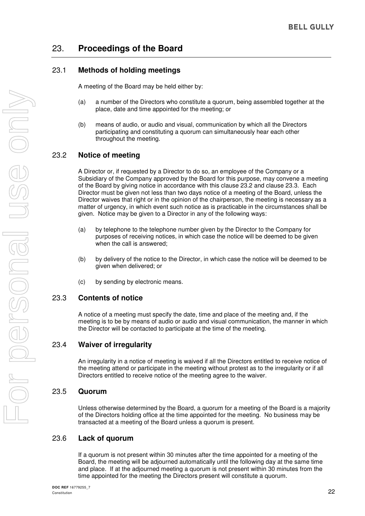## 23. **Proceedings of the Board**

### 23.1 **Methods of holding meetings**

A meeting of the Board may be held either by:

- (a) a number of the Directors who constitute a quorum, being assembled together at the place, date and time appointed for the meeting; or
- (b) means of audio, or audio and visual, communication by which all the Directors participating and constituting a quorum can simultaneously hear each other throughout the meeting.

#### 23.2 **Notice of meeting**

A Director or, if requested by a Director to do so, an employee of the Company or a Subsidiary of the Company approved by the Board for this purpose, may convene a meeting of the Board by giving notice in accordance with this clause 23.2 and clause 23.3. Each Director must be given not less than two days notice of a meeting of the Board, unless the Director waives that right or in the opinion of the chairperson, the meeting is necessary as a matter of urgency, in which event such notice as is practicable in the circumstances shall be given. Notice may be given to a Director in any of the following ways:

- (a) by telephone to the telephone number given by the Director to the Company for purposes of receiving notices, in which case the notice will be deemed to be given when the call is answered;
- (b) by delivery of the notice to the Director, in which case the notice will be deemed to be given when delivered; or
- (c) by sending by electronic means.

#### 23.3 **Contents of notice**

A notice of a meeting must specify the date, time and place of the meeting and, if the meeting is to be by means of audio or audio and visual communication, the manner in which the Director will be contacted to participate at the time of the meeting.

#### 23.4 **Waiver of irregularity**

An irregularity in a notice of meeting is waived if all the Directors entitled to receive notice of the meeting attend or participate in the meeting without protest as to the irregularity or if all Directors entitled to receive notice of the meeting agree to the waiver.

#### 23.5 **Quorum**

Unless otherwise determined by the Board, a quorum for a meeting of the Board is a majority of the Directors holding office at the time appointed for the meeting. No business may be transacted at a meeting of the Board unless a quorum is present.

#### 23.6 **Lack of quorum**

If a quorum is not present within 30 minutes after the time appointed for a meeting of the Board, the meeting will be adjourned automatically until the following day at the same time and place. If at the adjourned meeting a quorum is not present within 30 minutes from the time appointed for the meeting the Directors present will constitute a quorum.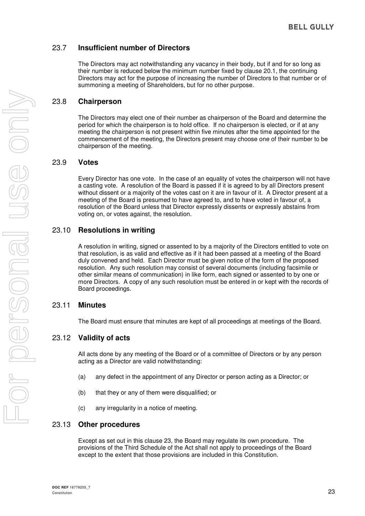## 23.7 **Insufficient number of Directors**

The Directors may act notwithstanding any vacancy in their body, but if and for so long as their number is reduced below the minimum number fixed by clause 20.1, the continuing Directors may act for the purpose of increasing the number of Directors to that number or of summoning a meeting of Shareholders, but for no other purpose.

## 23.8 **Chairperson**

The Directors may elect one of their number as chairperson of the Board and determine the period for which the chairperson is to hold office. If no chairperson is elected, or if at any meeting the chairperson is not present within five minutes after the time appointed for the commencement of the meeting, the Directors present may choose one of their number to be chairperson of the meeting.

## 23.9 **Votes**

Every Director has one vote. In the case of an equality of votes the chairperson will not have a casting vote. A resolution of the Board is passed if it is agreed to by all Directors present without dissent or a majority of the votes cast on it are in favour of it. A Director present at a meeting of the Board is presumed to have agreed to, and to have voted in favour of, a resolution of the Board unless that Director expressly dissents or expressly abstains from voting on, or votes against, the resolution.

## 23.10 **Resolutions in writing**

A resolution in writing, signed or assented to by a majority of the Directors entitled to vote on that resolution, is as valid and effective as if it had been passed at a meeting of the Board duly convened and held. Each Director must be given notice of the form of the proposed resolution. Any such resolution may consist of several documents (including facsimile or other similar means of communication) in like form, each signed or assented to by one or more Directors. A copy of any such resolution must be entered in or kept with the records of Board proceedings.

## 23.11 **Minutes**

The Board must ensure that minutes are kept of all proceedings at meetings of the Board.

## 23.12 **Validity of acts**

All acts done by any meeting of the Board or of a committee of Directors or by any person acting as a Director are valid notwithstanding:

- (a) any defect in the appointment of any Director or person acting as a Director; or
- (b) that they or any of them were disqualified; or
- (c) any irregularity in a notice of meeting.

#### 23.13 **Other procedures**

Except as set out in this clause 23, the Board may regulate its own procedure. The provisions of the Third Schedule of the Act shall not apply to proceedings of the Board except to the extent that those provisions are included in this Constitution.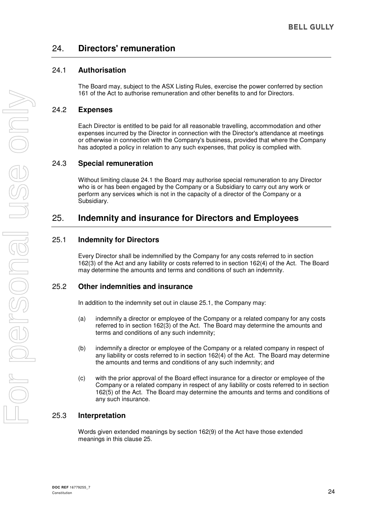## 24. **Directors' remuneration**

## 24.1 **Authorisation**

The Board may, subject to the ASX Listing Rules, exercise the power conferred by section 161 of the Act to authorise remuneration and other benefits to and for Directors.

#### 24.2 **Expenses**

Each Director is entitled to be paid for all reasonable travelling, accommodation and other expenses incurred by the Director in connection with the Director's attendance at meetings or otherwise in connection with the Company's business, provided that where the Company has adopted a policy in relation to any such expenses, that policy is complied with.

#### 24.3 **Special remuneration**

Without limiting clause 24.1 the Board may authorise special remuneration to any Director who is or has been engaged by the Company or a Subsidiary to carry out any work or perform any services which is not in the capacity of a director of the Company or a Subsidiary.

## 25. **Indemnity and insurance for Directors and Employees**

#### 25.1 **Indemnity for Directors**

Every Director shall be indemnified by the Company for any costs referred to in section 162(3) of the Act and any liability or costs referred to in section 162(4) of the Act. The Board may determine the amounts and terms and conditions of such an indemnity.

#### 25.2 **Other indemnities and insurance**

In addition to the indemnity set out in clause 25.1, the Company may:

- (a) indemnify a director or employee of the Company or a related company for any costs referred to in section 162(3) of the Act. The Board may determine the amounts and terms and conditions of any such indemnity;
- (b) indemnify a director or employee of the Company or a related company in respect of any liability or costs referred to in section 162(4) of the Act. The Board may determine the amounts and terms and conditions of any such indemnity; and
- (c) with the prior approval of the Board effect insurance for a director or employee of the Company or a related company in respect of any liability or costs referred to in section 162(5) of the Act. The Board may determine the amounts and terms and conditions of any such insurance.

## 25.3 **Interpretation**

Words given extended meanings by section 162(9) of the Act have those extended meanings in this clause 25.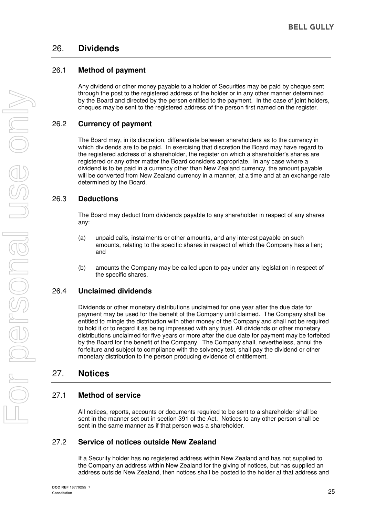## 26. **Dividends**

## 26.1 **Method of payment**

Any dividend or other money payable to a holder of Securities may be paid by cheque sent through the post to the registered address of the holder or in any other manner determined by the Board and directed by the person entitled to the payment. In the case of joint holders, cheques may be sent to the registered address of the person first named on the register.

## 26.2 **Currency of payment**

The Board may, in its discretion, differentiate between shareholders as to the currency in which dividends are to be paid. In exercising that discretion the Board may have regard to the registered address of a shareholder, the register on which a shareholder's shares are registered or any other matter the Board considers appropriate. In any case where a dividend is to be paid in a currency other than New Zealand currency, the amount payable will be converted from New Zealand currency in a manner, at a time and at an exchange rate determined by the Board.

## 26.3 **Deductions**

The Board may deduct from dividends payable to any shareholder in respect of any shares any:

- (a) unpaid calls, instalments or other amounts, and any interest payable on such amounts, relating to the specific shares in respect of which the Company has a lien; and
- (b) amounts the Company may be called upon to pay under any legislation in respect of the specific shares.

## 26.4 **Unclaimed dividends**

Dividends or other monetary distributions unclaimed for one year after the due date for payment may be used for the benefit of the Company until claimed. The Company shall be entitled to mingle the distribution with other money of the Company and shall not be required to hold it or to regard it as being impressed with any trust. All dividends or other monetary distributions unclaimed for five years or more after the due date for payment may be forfeited by the Board for the benefit of the Company. The Company shall, nevertheless, annul the forfeiture and subject to compliance with the solvency test, shall pay the dividend or other monetary distribution to the person producing evidence of entitlement.

## 27. **Notices**

## 27.1 **Method of service**

All notices, reports, accounts or documents required to be sent to a shareholder shall be sent in the manner set out in section 391 of the Act. Notices to any other person shall be sent in the same manner as if that person was a shareholder.

## 27.2 **Service of notices outside New Zealand**

If a Security holder has no registered address within New Zealand and has not supplied to the Company an address within New Zealand for the giving of notices, but has supplied an address outside New Zealand, then notices shall be posted to the holder at that address and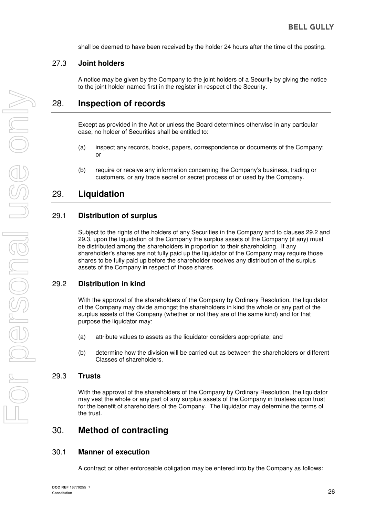shall be deemed to have been received by the holder 24 hours after the time of the posting.

#### 27.3 **Joint holders**

A notice may be given by the Company to the joint holders of a Security by giving the notice to the joint holder named first in the register in respect of the Security.

## 28. **Inspection of records**

Except as provided in the Act or unless the Board determines otherwise in any particular case, no holder of Securities shall be entitled to:

- (a) inspect any records, books, papers, correspondence or documents of the Company; or
- (b) require or receive any information concerning the Company's business, trading or customers, or any trade secret or secret process of or used by the Company.

## 29. **Liquidation**

#### 29.1 **Distribution of surplus**

Subject to the rights of the holders of any Securities in the Company and to clauses 29.2 and 29.3, upon the liquidation of the Company the surplus assets of the Company (if any) must be distributed among the shareholders in proportion to their shareholding. If any shareholder's shares are not fully paid up the liquidator of the Company may require those shares to be fully paid up before the shareholder receives any distribution of the surplus assets of the Company in respect of those shares.

## 29.2 **Distribution in kind**

With the approval of the shareholders of the Company by Ordinary Resolution, the liquidator of the Company may divide amongst the shareholders in kind the whole or any part of the surplus assets of the Company (whether or not they are of the same kind) and for that purpose the liquidator may:

- (a) attribute values to assets as the liquidator considers appropriate; and
- (b) determine how the division will be carried out as between the shareholders or different Classes of shareholders.

#### 29.3 **Trusts**

With the approval of the shareholders of the Company by Ordinary Resolution, the liquidator may vest the whole or any part of any surplus assets of the Company in trustees upon trust for the benefit of shareholders of the Company. The liquidator may determine the terms of the trust.

## 30. **Method of contracting**

#### 30.1 **Manner of execution**

A contract or other enforceable obligation may be entered into by the Company as follows: